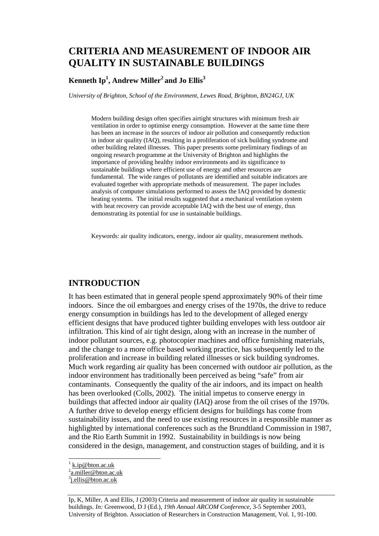# **CRITERIA AND MEASUREMENT OF INDOOR AIR QUALITY IN SUSTAINABLE BUILDINGS**

#### $\mathbf{Kenneth}\ \mathbf{Ip^1, \mathbf{Andrew}\ Miller^2\ \mathbf{and}\ \mathbf{Jo}\ \mathbf{Ellis^3}$

*University of Brighton, School of the Environment, Lewes Road, Brighton, BN24GJ, UK* 

Modern building design often specifies airtight structures with minimum fresh air ventilation in order to optimise energy consumption. However at the same time there has been an increase in the sources of indoor air pollution and consequently reduction in indoor air quality (IAQ), resulting in a proliferation of sick building syndrome and other building related illnesses. This paper presents some preliminary findings of an ongoing research programme at the University of Brighton and highlights the importance of providing healthy indoor environments and its significance to sustainable buildings where efficient use of energy and other resources are fundamental. The wide ranges of pollutants are identified and suitable indicators are evaluated together with appropriate methods of measurement. The paper includes analysis of computer simulations performed to assess the IAQ provided by domestic heating systems. The initial results suggested that a mechanical ventilation system with heat recovery can provide acceptable IAQ with the best use of energy, thus demonstrating its potential for use in sustainable buildings.

Keywords: air quality indicators, energy, indoor air quality, measurement methods.

#### **INTRODUCTION**

It has been estimated that in general people spend approximately 90% of their time indoors. Since the oil embargoes and energy crises of the 1970s, the drive to reduce energy consumption in buildings has led to the development of alleged energy efficient designs that have produced tighter building envelopes with less outdoor air infiltration. This kind of air tight design, along with an increase in the number of indoor pollutant sources, e.g. photocopier machines and office furnishing materials, and the change to a more office based working practice, has subsequently led to the proliferation and increase in building related illnesses or sick building syndromes. Much work regarding air quality has been concerned with outdoor air pollution, as the indoor environment has traditionally been perceived as being "safe" from air contaminants. Consequently the quality of the air indoors, and its impact on health has been overlooked (Colls, 2002). The initial impetus to conserve energy in buildings that affected indoor air quality (IAQ) arose from the oil crises of the 1970s. A further drive to develop energy efficient designs for buildings has come from sustainability issues, and the need to use existing resources in a responsible manner as highlighted by international conferences such as the Brundtland Commission in 1987, and the Rio Earth Summit in 1992. Sustainability in buildings is now being considered in the design, management, and construction stages of building, and it is

l

Ip, K, Miller, A and Ellis, J (2003) Criteria and measurement of indoor air quality in sustainable buildings. *In:* Greenwood, D J (Ed.), *19th Annual ARCOM Conference*, 3-5 September 2003, University of Brighton. Association of Researchers in Construction Management, Vol. 1, 91-100.

<sup>1</sup> k.ip@bton.ac.uk

<sup>&</sup>lt;sup>2</sup> a.miller@bton.ac.uk

<sup>&</sup>lt;sup>3</sup>j.ellis@bton.ac.uk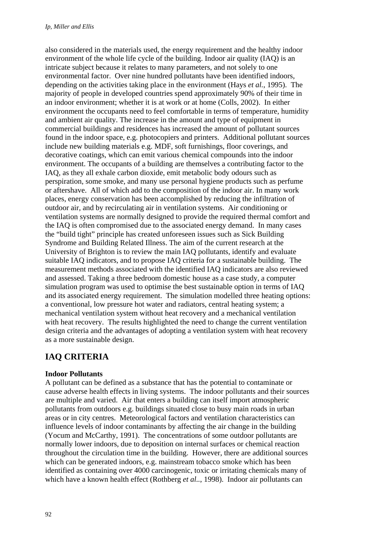also considered in the materials used, the energy requirement and the healthy indoor environment of the whole life cycle of the building. Indoor air quality (IAQ) is an intricate subject because it relates to many parameters, and not solely to one environmental factor. Over nine hundred pollutants have been identified indoors, depending on the activities taking place in the environment (Hays *et al.*, 1995). The majority of people in developed countries spend approximately 90% of their time in an indoor environment; whether it is at work or at home (Colls, 2002). In either environment the occupants need to feel comfortable in terms of temperature, humidity and ambient air quality. The increase in the amount and type of equipment in commercial buildings and residences has increased the amount of pollutant sources found in the indoor space, e.g. photocopiers and printers. Additional pollutant sources include new building materials e.g. MDF, soft furnishings, floor coverings, and decorative coatings, which can emit various chemical compounds into the indoor environment. The occupants of a building are themselves a contributing factor to the IAQ, as they all exhale carbon dioxide, emit metabolic body odours such as perspiration, some smoke, and many use personal hygiene products such as perfume or aftershave. All of which add to the composition of the indoor air. In many work places, energy conservation has been accomplished by reducing the infiltration of outdoor air, and by recirculating air in ventilation systems. Air conditioning or ventilation systems are normally designed to provide the required thermal comfort and the IAQ is often compromised due to the associated energy demand. In many cases the "build tight" principle has created unforeseen issues such as Sick Building Syndrome and Building Related Illness. The aim of the current research at the University of Brighton is to review the main IAQ pollutants, identify and evaluate suitable IAQ indicators, and to propose IAQ criteria for a sustainable building. The measurement methods associated with the identified IAQ indicators are also reviewed and assessed. Taking a three bedroom domestic house as a case study, a computer simulation program was used to optimise the best sustainable option in terms of IAQ and its associated energy requirement. The simulation modelled three heating options: a conventional, low pressure hot water and radiators, central heating system; a mechanical ventilation system without heat recovery and a mechanical ventilation with heat recovery. The results highlighted the need to change the current ventilation design criteria and the advantages of adopting a ventilation system with heat recovery as a more sustainable design.

# **IAQ CRITERIA**

#### **Indoor Pollutants**

A pollutant can be defined as a substance that has the potential to contaminate or cause adverse health effects in living systems. The indoor pollutants and their sources are multiple and varied. Air that enters a building can itself import atmospheric pollutants from outdoors e.g. buildings situated close to busy main roads in urban areas or in city centres. Meteorological factors and ventilation characteristics can influence levels of indoor contaminants by affecting the air change in the building (Yocum and McCarthy, 1991). The concentrations of some outdoor pollutants are normally lower indoors, due to deposition on internal surfaces or chemical reaction throughout the circulation time in the building. However, there are additional sources which can be generated indoors, e.g. mainstream tobacco smoke which has been identified as containing over 4000 carcinogenic, toxic or irritating chemicals many of which have a known health effect (Rothberg *et al..*, 1998). Indoor air pollutants can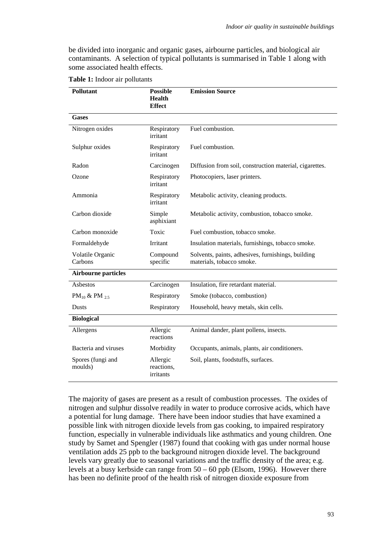be divided into inorganic and organic gases, airbourne particles, and biological air contaminants. A selection of typical pollutants is summarised in Table 1 along with some associated health effects.

| <b>Pollutant</b>                     | <b>Possible</b><br><b>Health</b><br><b>Effect</b> | <b>Emission Source</b>                                                          |  |
|--------------------------------------|---------------------------------------------------|---------------------------------------------------------------------------------|--|
| <b>Gases</b>                         |                                                   |                                                                                 |  |
| Nitrogen oxides                      | Respiratory<br>irritant                           | Fuel combustion.                                                                |  |
| Sulphur oxides                       | Respiratory<br>irritant                           | Fuel combustion.                                                                |  |
| Radon                                | Carcinogen                                        | Diffusion from soil, construction material, cigarettes.                         |  |
| Ozone                                | Respiratory<br>irritant                           | Photocopiers, laser printers.                                                   |  |
| Ammonia                              | Respiratory<br>irritant                           | Metabolic activity, cleaning products.                                          |  |
| Carbon dioxide                       | Simple<br>asphixiant                              | Metabolic activity, combustion, tobacco smoke.                                  |  |
| Carbon monoxide                      | Toxic                                             | Fuel combustion, tobacco smoke.                                                 |  |
| Formaldehyde                         | Irritant                                          | Insulation materials, furnishings, tobacco smoke.                               |  |
| Volatile Organic<br>Carbons          | Compound<br>specific                              | Solvents, paints, adhesives, furnishings, building<br>materials, tobacco smoke. |  |
| <b>Airbourne particles</b>           |                                                   |                                                                                 |  |
| <b>Asbestos</b>                      | Carcinogen                                        | Insulation, fire retardant material.                                            |  |
| PM <sub>10</sub> & PM <sub>2.5</sub> | Respiratory                                       | Smoke (tobacco, combustion)                                                     |  |
| <b>Dusts</b>                         | Respiratory                                       | Household, heavy metals, skin cells.                                            |  |
| <b>Biological</b>                    |                                                   |                                                                                 |  |
| Allergens                            | Allergic<br>reactions                             | Animal dander, plant pollens, insects.                                          |  |
| Bacteria and viruses                 | Morbidity                                         | Occupants, animals, plants, air conditioners.                                   |  |
| Spores (fungi and<br>moulds)         | Allergic<br>reactions,<br>irritants               | Soil, plants, foodstuffs, surfaces.                                             |  |

**Table 1:** Indoor air pollutants

The majority of gases are present as a result of combustion processes. The oxides of nitrogen and sulphur dissolve readily in water to produce corrosive acids, which have a potential for lung damage. There have been indoor studies that have examined a possible link with nitrogen dioxide levels from gas cooking, to impaired respiratory function, especially in vulnerable individuals like asthmatics and young children. One study by Samet and Spengler (1987) found that cooking with gas under normal house ventilation adds 25 ppb to the background nitrogen dioxide level. The background levels vary greatly due to seasonal variations and the traffic density of the area; e.g. levels at a busy kerbside can range from 50 – 60 ppb (Elsom, 1996). However there has been no definite proof of the health risk of nitrogen dioxide exposure from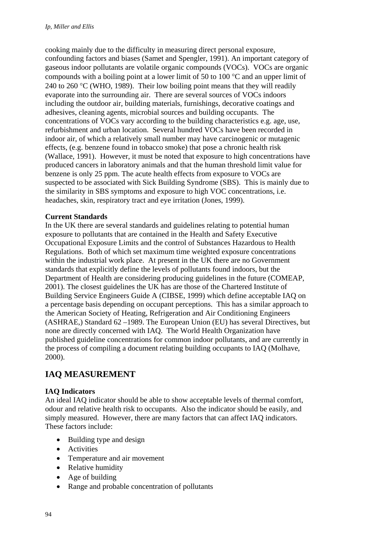cooking mainly due to the difficulty in measuring direct personal exposure, confounding factors and biases (Samet and Spengler, 1991). An important category of gaseous indoor pollutants are volatile organic compounds (VOCs). VOCs are organic compounds with a boiling point at a lower limit of 50 to 100 °C and an upper limit of 240 to 260  $\degree$ C (WHO, 1989). Their low boiling point means that they will readily evaporate into the surrounding air. There are several sources of VOCs indoors including the outdoor air, building materials, furnishings, decorative coatings and adhesives, cleaning agents, microbial sources and building occupants. The concentrations of VOCs vary according to the building characteristics e.g. age, use, refurbishment and urban location. Several hundred VOCs have been recorded in indoor air, of which a relatively small number may have carcinogenic or mutagenic effects, (e.g. benzene found in tobacco smoke) that pose a chronic health risk (Wallace, 1991). However, it must be noted that exposure to high concentrations have produced cancers in laboratory animals and that the human threshold limit value for benzene is only 25 ppm. The acute health effects from exposure to VOCs are suspected to be associated with Sick Building Syndrome (SBS). This is mainly due to the similarity in SBS symptoms and exposure to high VOC concentrations, i.e. headaches, skin, respiratory tract and eye irritation (Jones, 1999).

### **Current Standards**

In the UK there are several standards and guidelines relating to potential human exposure to pollutants that are contained in the Health and Safety Executive Occupational Exposure Limits and the control of Substances Hazardous to Health Regulations. Both of which set maximum time weighted exposure concentrations within the industrial work place. At present in the UK there are no Government standards that explicitly define the levels of pollutants found indoors, but the Department of Health are considering producing guidelines in the future (COMEAP, 2001). The closest guidelines the UK has are those of the Chartered Institute of Building Service Engineers Guide A (CIBSE, 1999) which define acceptable IAQ on a percentage basis depending on occupant perceptions. This has a similar approach to the American Society of Heating, Refrigeration and Air Conditioning Engineers (ASHRAE,) Standard 62 –1989. The European Union (EU) has several Directives, but none are directly concerned with IAQ. The World Health Organization have published guideline concentrations for common indoor pollutants, and are currently in the process of compiling a document relating building occupants to IAQ (Molhave, 2000).

# **IAQ MEASUREMENT**

### **IAQ Indicators**

An ideal IAQ indicator should be able to show acceptable levels of thermal comfort, odour and relative health risk to occupants. Also the indicator should be easily, and simply measured. However, there are many factors that can affect IAQ indicators. These factors include:

- Building type and design
- Activities
- Temperature and air movement
- Relative humidity
- Age of building
- Range and probable concentration of pollutants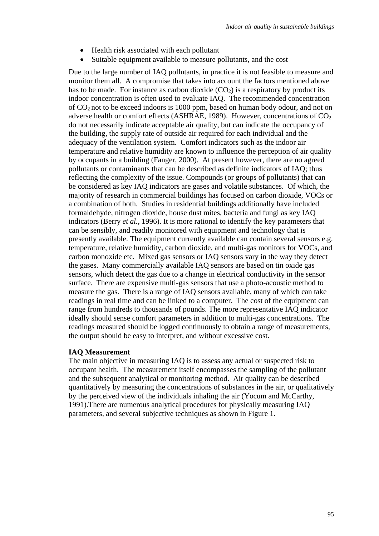- Health risk associated with each pollutant
- Suitable equipment available to measure pollutants, and the cost

Due to the large number of IAQ pollutants, in practice it is not feasible to measure and monitor them all. A compromise that takes into account the factors mentioned above has to be made. For instance as carbon dioxide  $(CO<sub>2</sub>)$  is a respiratory by product its indoor concentration is often used to evaluate IAQ. The recommended concentration of CO2 not to be exceed indoors is 1000 ppm, based on human body odour, and not on adverse health or comfort effects (ASHRAE, 1989). However, concentrations of  $CO<sub>2</sub>$ do not necessarily indicate acceptable air quality, but can indicate the occupancy of the building, the supply rate of outside air required for each individual and the adequacy of the ventilation system. Comfort indicators such as the indoor air temperature and relative humidity are known to influence the perception of air quality by occupants in a building (Fanger, 2000). At present however, there are no agreed pollutants or contaminants that can be described as definite indicators of IAQ; thus reflecting the complexity of the issue. Compounds (or groups of pollutants) that can be considered as key IAQ indicators are gases and volatile substances. Of which, the majority of research in commercial buildings has focused on carbon dioxide, VOCs or a combination of both. Studies in residential buildings additionally have included formaldehyde, nitrogen dioxide, house dust mites, bacteria and fungi as key IAQ indicators (Berry *et al.*, 1996). It is more rational to identify the key parameters that can be sensibly, and readily monitored with equipment and technology that is presently available. The equipment currently available can contain several sensors e.g. temperature, relative humidity, carbon dioxide, and multi-gas monitors for VOCs, and carbon monoxide etc. Mixed gas sensors or IAQ sensors vary in the way they detect the gases. Many commercially available IAQ sensors are based on tin oxide gas sensors, which detect the gas due to a change in electrical conductivity in the sensor surface. There are expensive multi-gas sensors that use a photo-acoustic method to measure the gas. There is a range of IAQ sensors available, many of which can take readings in real time and can be linked to a computer. The cost of the equipment can range from hundreds to thousands of pounds. The more representative IAQ indicator ideally should sense comfort parameters in addition to multi-gas concentrations. The readings measured should be logged continuously to obtain a range of measurements, the output should be easy to interpret, and without excessive cost.

#### **IAQ Measurement**

The main objective in measuring IAQ is to assess any actual or suspected risk to occupant health. The measurement itself encompasses the sampling of the pollutant and the subsequent analytical or monitoring method. Air quality can be described quantitatively by measuring the concentrations of substances in the air, or qualitatively by the perceived view of the individuals inhaling the air (Yocum and McCarthy, 1991).There are numerous analytical procedures for physically measuring IAQ parameters, and several subjective techniques as shown in Figure 1.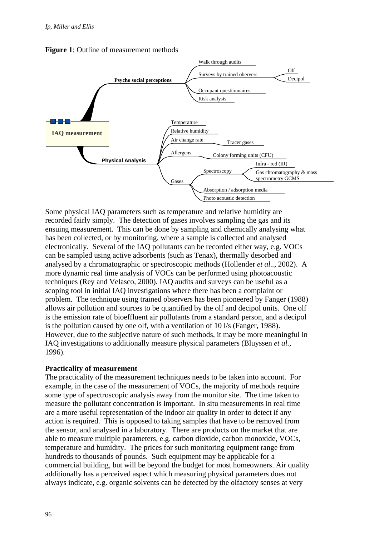

**Figure 1**: Outline of measurement methods

Some physical IAQ parameters such as temperature and relative humidity are recorded fairly simply. The detection of gases involves sampling the gas and its ensuing measurement. This can be done by sampling and chemically analysing what has been collected, or by monitoring, where a sample is collected and analysed electronically. Several of the IAQ pollutants can be recorded either way, e.g. VOCs can be sampled using active adsorbents (such as Tenax), thermally desorbed and analysed by a chromatographic or spectroscopic methods (Hollender *et al..*, 2002). A more dynamic real time analysis of VOCs can be performed using photoacoustic techniques (Rey and Velasco, 2000). IAQ audits and surveys can be useful as a scoping tool in initial IAQ investigations where there has been a complaint or problem. The technique using trained observers has been pioneered by Fanger (1988) allows air pollution and sources to be quantified by the olf and decipol units. One olf is the emission rate of bioeffluent air pollutants from a standard person, and a decipol is the pollution caused by one olf, with a ventilation of 10 l/s (Fanger, 1988). However, due to the subjective nature of such methods, it may be more meaningful in IAQ investigations to additionally measure physical parameters (Bluyssen *et al.*, 1996).

#### **Practicality of measurement**

The practicality of the measurement techniques needs to be taken into account. For example, in the case of the measurement of VOCs, the majority of methods require some type of spectroscopic analysis away from the monitor site. The time taken to measure the pollutant concentration is important. In situ measurements in real time are a more useful representation of the indoor air quality in order to detect if any action is required. This is opposed to taking samples that have to be removed from the sensor, and analysed in a laboratory. There are products on the market that are able to measure multiple parameters, e.g. carbon dioxide, carbon monoxide, VOCs, temperature and humidity. The prices for such monitoring equipment range from hundreds to thousands of pounds. Such equipment may be applicable for a commercial building, but will be beyond the budget for most homeowners. Air quality additionally has a perceived aspect which measuring physical parameters does not always indicate, e.g. organic solvents can be detected by the olfactory senses at very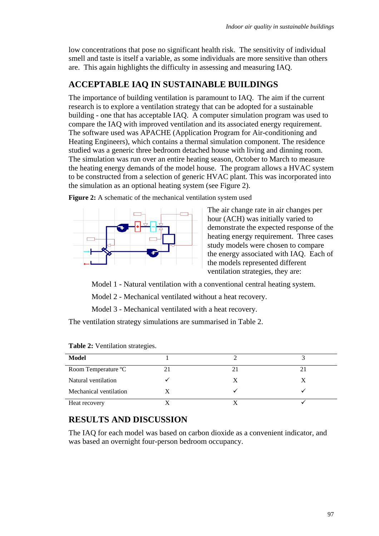low concentrations that pose no significant health risk. The sensitivity of individual smell and taste is itself a variable, as some individuals are more sensitive than others are. This again highlights the difficulty in assessing and measuring IAQ.

## **ACCEPTABLE IAQ IN SUSTAINABLE BUILDINGS**

The importance of building ventilation is paramount to IAQ. The aim if the current research is to explore a ventilation strategy that can be adopted for a sustainable building - one that has acceptable IAQ. A computer simulation program was used to compare the IAQ with improved ventilation and its associated energy requirement. The software used was APACHE (Application Program for Air-conditioning and Heating Engineers), which contains a thermal simulation component. The residence studied was a generic three bedroom detached house with living and dinning room. The simulation was run over an entire heating season, October to March to measure the heating energy demands of the model house. The program allows a HVAC system to be constructed from a selection of generic HVAC plant. This was incorporated into the simulation as an optional heating system (see Figure 2).

**Figure 2:** A schematic of the mechanical ventilation system used



The air change rate in air changes per hour (ACH) was initially varied to demonstrate the expected response of the heating energy requirement. Three cases study models were chosen to compare the energy associated with IAQ. Each of the models represented different ventilation strategies, they are:

Model 1 - Natural ventilation with a conventional central heating system.

Model 2 - Mechanical ventilated without a heat recovery.

Model 3 - Mechanical ventilated with a heat recovery.

The ventilation strategy simulations are summarised in Table 2.

| Model                  |    |  |
|------------------------|----|--|
| Room Temperature °C    | 21 |  |
| Natural ventilation    | X  |  |
| Mechanical ventilation |    |  |
| Heat recovery          |    |  |

**Table 2:** Ventilation strategies.

# **RESULTS AND DISCUSSION**

The IAQ for each model was based on carbon dioxide as a convenient indicator, and was based an overnight four-person bedroom occupancy.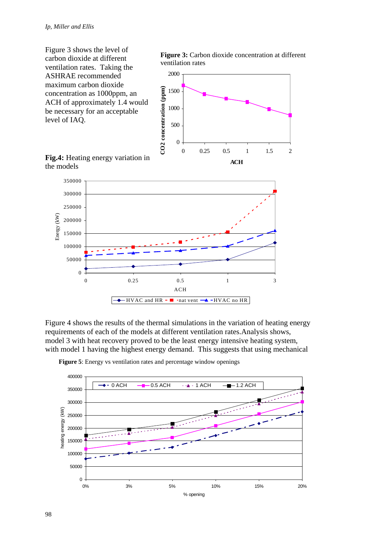0



Figure 4 shows the results of the thermal simulations in the variation of heating energy requirements of each of the models at different ventilation rates.Analysis shows, model 3 with heat recovery proved to be the least energy intensive heating system, with model 1 having the highest energy demand. This suggests that using mechanical

0 0.25 0.5 1 3 ACH

 $-HVAC$  and  $HR -$  nat vent  $\rightarrow$  -HVAC no HR



**Figure 5**: Energy vs ventilation rates and percentage window openings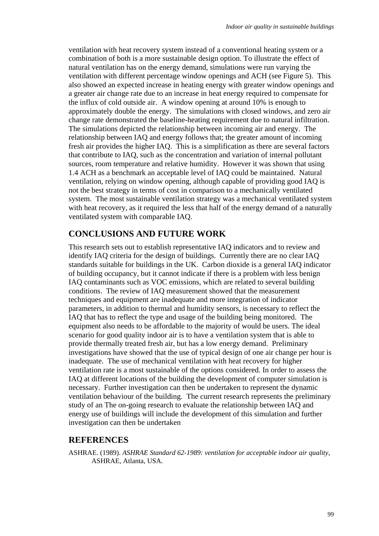ventilation with heat recovery system instead of a conventional heating system or a combination of both is a more sustainable design option. To illustrate the effect of natural ventilation has on the energy demand, simulations were run varying the ventilation with different percentage window openings and ACH (see Figure 5). This also showed an expected increase in heating energy with greater window openings and a greater air change rate due to an increase in heat energy required to compensate for the influx of cold outside air. A window opening at around 10% is enough to approximately double the energy. The simulations with closed windows, and zero air change rate demonstrated the baseline-heating requirement due to natural infiltration. The simulations depicted the relationship between incoming air and energy. The relationship between IAQ and energy follows that; the greater amount of incoming fresh air provides the higher IAQ. This is a simplification as there are several factors that contribute to IAQ, such as the concentration and variation of internal pollutant sources, room temperature and relative humidity. However it was shown that using 1.4 ACH as a benchmark an acceptable level of IAQ could be maintained. Natural ventilation, relying on window opening, although capable of providing good IAQ is not the best strategy in terms of cost in comparison to a mechanically ventilated system. The most sustainable ventilation strategy was a mechanical ventilated system with heat recovery, as it required the less that half of the energy demand of a naturally ventilated system with comparable IAQ.

### **CONCLUSIONS AND FUTURE WORK**

This research sets out to establish representative IAQ indicators and to review and identify IAQ criteria for the design of buildings. Currently there are no clear IAQ standards suitable for buildings in the UK. Carbon dioxide is a general IAQ indicator of building occupancy, but it cannot indicate if there is a problem with less benign IAQ contaminants such as VOC emissions, which are related to several building conditions. The review of IAQ measurement showed that the measurement techniques and equipment are inadequate and more integration of indicator parameters, in addition to thermal and humidity sensors, is necessary to reflect the IAQ that has to reflect the type and usage of the building being monitored. The equipment also needs to be affordable to the majority of would be users. The ideal scenario for good quality indoor air is to have a ventilation system that is able to provide thermally treated fresh air, but has a low energy demand. Preliminary investigations have showed that the use of typical design of one air change per hour is inadequate. The use of mechanical ventilation with heat recovery for higher ventilation rate is a most sustainable of the options considered. In order to assess the IAQ at different locations of the building the development of computer simulation is necessary. Further investigation can then be undertaken to represent the dynamic ventilation behaviour of the building. The current research represents the preliminary study of an The on-going research to evaluate the relationship between IAQ and energy use of buildings will include the development of this simulation and further investigation can then be undertaken

### **REFERENCES**

ASHRAE. (1989). *ASHRAE Standard 62-1989: ventilation for acceptable indoor air quality*, ASHRAE, Atlanta, USA.